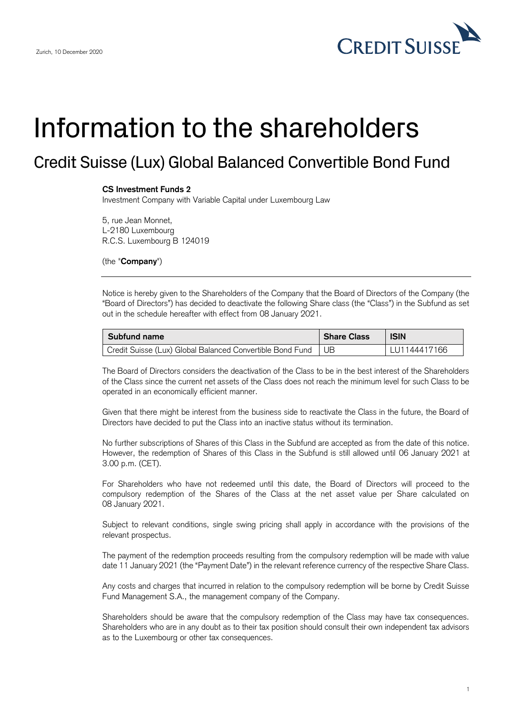

## Information to the shareholders

## Credit Suisse (Lux) Global Balanced Convertible Bond Fund

## **CS Investment Funds 2**

Investment Company with Variable Capital under Luxembourg Law

5, rue Jean Monnet, L-2180 Luxembourg R.C.S. Luxembourg B 124019

(the "**Company**")

 Notice is hereby given to the Shareholders of the Company that the Board of Directors of the Company (the "Board of Directors") has decided to deactivate the following Share class (the "Class") in the Subfund as set out in the schedule hereafter with effect from 08 January 2021.

| Subfund name                                                   | <b>Share Class</b> | <b>ISIN</b>  |
|----------------------------------------------------------------|--------------------|--------------|
| Credit Suisse (Lux) Global Balanced Convertible Bond Fund   UB |                    | LU1144417166 |

 The Board of Directors considers the deactivation of the Class to be in the best interest of the Shareholders of the Class since the current net assets of the Class does not reach the minimum level for such Class to be operated in an economically efficient manner.

 Given that there might be interest from the business side to reactivate the Class in the future, the Board of Directors have decided to put the Class into an inactive status without its termination.

 No further subscriptions of Shares of this Class in the Subfund are accepted as from the date of this notice. However, the redemption of Shares of this Class in the Subfund is still allowed until 06 January 2021 at 3.00 p.m. (CET).

 For Shareholders who have not redeemed until this date, the Board of Directors will proceed to the compulsory redemption of the Shares of the Class at the net asset value per Share calculated on 08 January 2021.

 Subject to relevant conditions, single swing pricing shall apply in accordance with the provisions of the relevant prospectus.

 The payment of the redemption proceeds resulting from the compulsory redemption will be made with value date 11 January 2021 (the "Payment Date") in the relevant reference currency of the respective Share Class.

 Any costs and charges that incurred in relation to the compulsory redemption will be borne by Credit Suisse Fund Management S.A., the management company of the Company.

 Shareholders should be aware that the compulsory redemption of the Class may have tax consequences. Shareholders who are in any doubt as to their tax position should consult their own independent tax advisors as to the Luxembourg or other tax consequences.